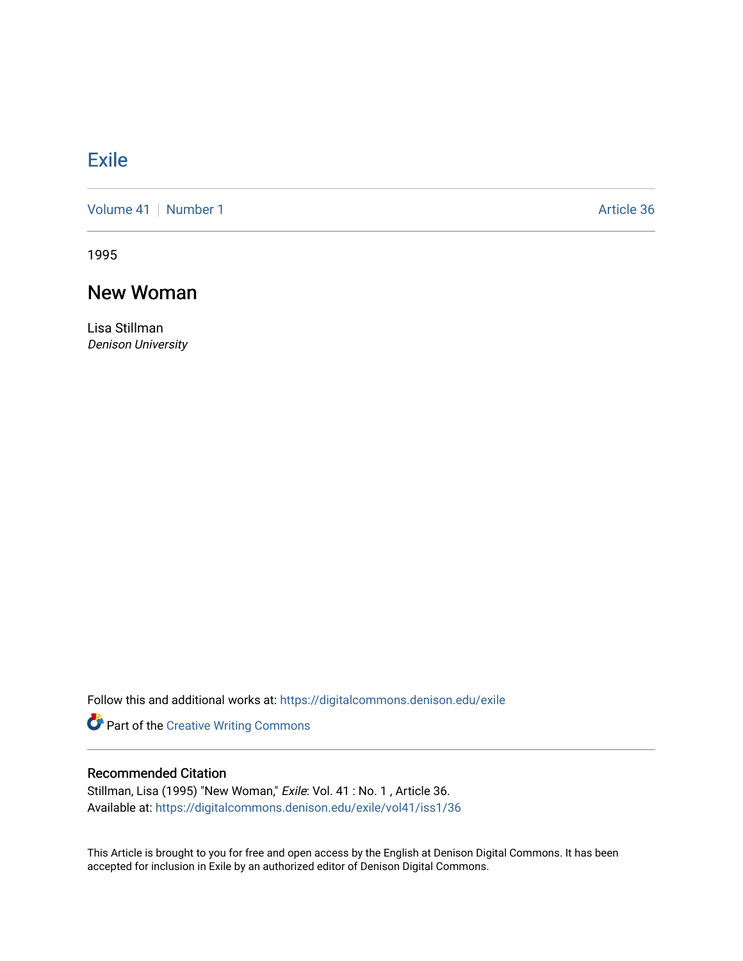## **[Exile](https://digitalcommons.denison.edu/exile)**

[Volume 41](https://digitalcommons.denison.edu/exile/vol41) | [Number 1](https://digitalcommons.denison.edu/exile/vol41/iss1) Article 36

1995

## New Woman

Lisa Stillman Denison University

Follow this and additional works at: [https://digitalcommons.denison.edu/exile](https://digitalcommons.denison.edu/exile?utm_source=digitalcommons.denison.edu%2Fexile%2Fvol41%2Fiss1%2F36&utm_medium=PDF&utm_campaign=PDFCoverPages) 

Part of the [Creative Writing Commons](http://network.bepress.com/hgg/discipline/574?utm_source=digitalcommons.denison.edu%2Fexile%2Fvol41%2Fiss1%2F36&utm_medium=PDF&utm_campaign=PDFCoverPages) 

## Recommended Citation

Stillman, Lisa (1995) "New Woman," Exile: Vol. 41 : No. 1, Article 36. Available at: [https://digitalcommons.denison.edu/exile/vol41/iss1/36](https://digitalcommons.denison.edu/exile/vol41/iss1/36?utm_source=digitalcommons.denison.edu%2Fexile%2Fvol41%2Fiss1%2F36&utm_medium=PDF&utm_campaign=PDFCoverPages)

This Article is brought to you for free and open access by the English at Denison Digital Commons. It has been accepted for inclusion in Exile by an authorized editor of Denison Digital Commons.